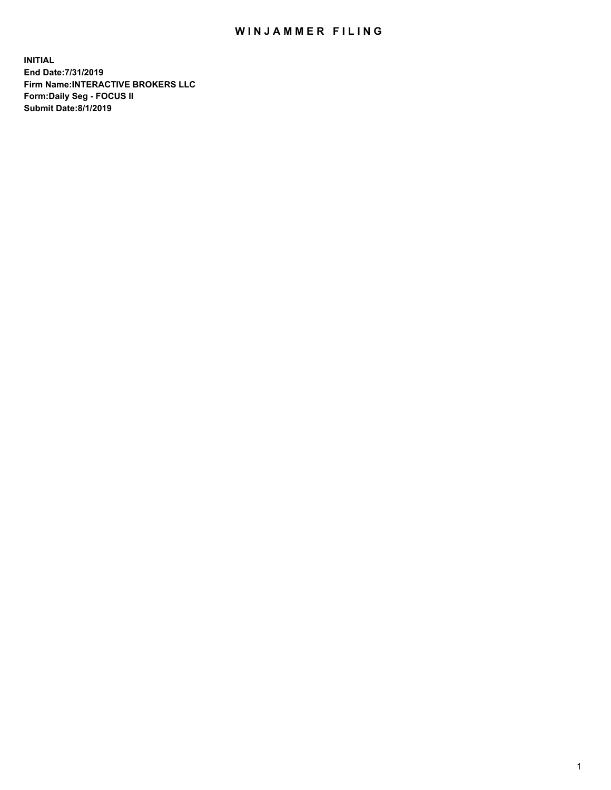## WIN JAMMER FILING

**INITIAL End Date:7/31/2019 Firm Name:INTERACTIVE BROKERS LLC Form:Daily Seg - FOCUS II Submit Date:8/1/2019**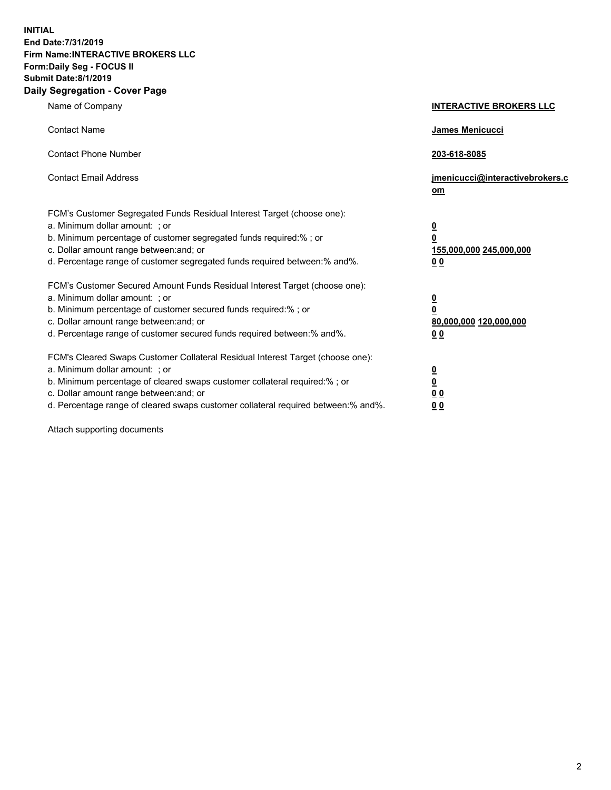**INITIAL End Date:7/31/2019 Firm Name:INTERACTIVE BROKERS LLC Form:Daily Seg - FOCUS II Submit Date:8/1/2019 Daily Segregation - Cover Page**

| Name of Company                                                                                                                                                                                                                                                                                                                | <b>INTERACTIVE BROKERS LLC</b>                                                                  |
|--------------------------------------------------------------------------------------------------------------------------------------------------------------------------------------------------------------------------------------------------------------------------------------------------------------------------------|-------------------------------------------------------------------------------------------------|
| <b>Contact Name</b>                                                                                                                                                                                                                                                                                                            | <b>James Menicucci</b>                                                                          |
| <b>Contact Phone Number</b>                                                                                                                                                                                                                                                                                                    | 203-618-8085                                                                                    |
| <b>Contact Email Address</b>                                                                                                                                                                                                                                                                                                   | jmenicucci@interactivebrokers.c<br>om                                                           |
| FCM's Customer Segregated Funds Residual Interest Target (choose one):<br>a. Minimum dollar amount: ; or<br>b. Minimum percentage of customer segregated funds required:% ; or<br>c. Dollar amount range between: and; or<br>d. Percentage range of customer segregated funds required between:% and%.                         | $\overline{\mathbf{0}}$<br>$\overline{\mathbf{0}}$<br>155,000,000 245,000,000<br>0 <sub>0</sub> |
| FCM's Customer Secured Amount Funds Residual Interest Target (choose one):<br>a. Minimum dollar amount: ; or<br>b. Minimum percentage of customer secured funds required:%; or<br>c. Dollar amount range between: and; or<br>d. Percentage range of customer secured funds required between:% and%.                            | $\overline{\mathbf{0}}$<br>$\mathbf 0$<br>80,000,000 120,000,000<br>0 <sub>0</sub>              |
| FCM's Cleared Swaps Customer Collateral Residual Interest Target (choose one):<br>a. Minimum dollar amount: ; or<br>b. Minimum percentage of cleared swaps customer collateral required:% ; or<br>c. Dollar amount range between: and; or<br>d. Percentage range of cleared swaps customer collateral required between:% and%. | $\overline{\mathbf{0}}$<br>$\underline{\mathbf{0}}$<br>0 <sub>0</sub><br>00                     |

Attach supporting documents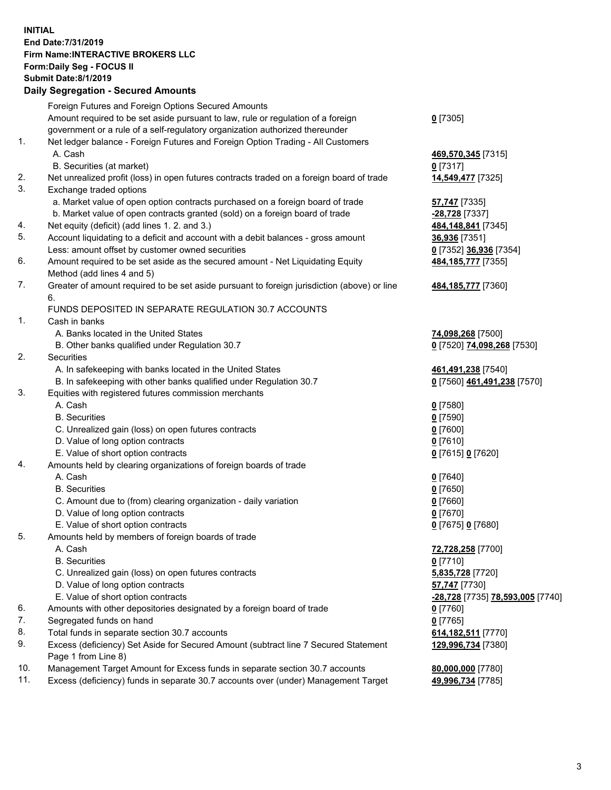## **INITIAL End Date:7/31/2019 Firm Name:INTERACTIVE BROKERS LLC Form:Daily Seg - FOCUS II Submit Date:8/1/2019 Daily Segregation - Secured Amounts**

|     | Dany Ocgregation - oceaned Amounte                                                                         |                                  |
|-----|------------------------------------------------------------------------------------------------------------|----------------------------------|
|     | Foreign Futures and Foreign Options Secured Amounts                                                        |                                  |
|     | Amount required to be set aside pursuant to law, rule or regulation of a foreign                           | $0$ [7305]                       |
|     | government or a rule of a self-regulatory organization authorized thereunder                               |                                  |
| 1.  | Net ledger balance - Foreign Futures and Foreign Option Trading - All Customers                            |                                  |
|     | A. Cash                                                                                                    | 469,570,345 [7315]               |
|     | B. Securities (at market)                                                                                  | $0$ [7317]                       |
| 2.  | Net unrealized profit (loss) in open futures contracts traded on a foreign board of trade                  | 14,549,477 [7325]                |
| 3.  | Exchange traded options                                                                                    |                                  |
|     | a. Market value of open option contracts purchased on a foreign board of trade                             | 57,747 [7335]                    |
|     | b. Market value of open contracts granted (sold) on a foreign board of trade                               | -28,728 [7337]                   |
| 4.  | Net equity (deficit) (add lines 1.2. and 3.)                                                               | 484,148,841 [7345]               |
| 5.  | Account liquidating to a deficit and account with a debit balances - gross amount                          | 36,936 [7351]                    |
|     | Less: amount offset by customer owned securities                                                           | 0 [7352] 36,936 [7354]           |
| 6.  | Amount required to be set aside as the secured amount - Net Liquidating Equity                             | 484, 185, 777 [7355]             |
|     | Method (add lines 4 and 5)                                                                                 |                                  |
| 7.  | Greater of amount required to be set aside pursuant to foreign jurisdiction (above) or line                | 484, 185, 777 [7360]             |
|     | 6.                                                                                                         |                                  |
|     | FUNDS DEPOSITED IN SEPARATE REGULATION 30.7 ACCOUNTS                                                       |                                  |
| 1.  | Cash in banks                                                                                              |                                  |
|     | A. Banks located in the United States                                                                      | 74,098,268 [7500]                |
|     | B. Other banks qualified under Regulation 30.7                                                             | 0 [7520] 74,098,268 [7530]       |
| 2.  | Securities                                                                                                 |                                  |
|     | A. In safekeeping with banks located in the United States                                                  | 461,491,238 [7540]               |
|     | B. In safekeeping with other banks qualified under Regulation 30.7                                         | 0 [7560] 461,491,238 [7570]      |
| 3.  | Equities with registered futures commission merchants                                                      |                                  |
|     | A. Cash                                                                                                    | $0$ [7580]                       |
|     | <b>B.</b> Securities                                                                                       | <u>0</u> [7590]                  |
|     | C. Unrealized gain (loss) on open futures contracts                                                        | $0$ [7600]                       |
|     | D. Value of long option contracts                                                                          | 0 [7610]                         |
|     | E. Value of short option contracts                                                                         | 0 [7615] 0 [7620]                |
| 4.  | Amounts held by clearing organizations of foreign boards of trade                                          |                                  |
|     | A. Cash                                                                                                    | $0$ [7640]                       |
|     | <b>B.</b> Securities                                                                                       | <u>0</u> [7650]                  |
|     | C. Amount due to (from) clearing organization - daily variation                                            | $0$ [7660]                       |
|     | D. Value of long option contracts                                                                          | $0$ [7670]                       |
|     | E. Value of short option contracts                                                                         | 0 [7675] 0 [7680]                |
| 5.  | Amounts held by members of foreign boards of trade                                                         |                                  |
|     | A. Cash                                                                                                    | 72,728,258 [7700]                |
|     | <b>B.</b> Securities                                                                                       | $0$ [7710]                       |
|     | C. Unrealized gain (loss) on open futures contracts                                                        | 5,835,728 [7720]                 |
|     | D. Value of long option contracts                                                                          | 57,747 [7730]                    |
|     | E. Value of short option contracts                                                                         | -28,728 [7735] 78,593,005 [7740] |
| 6.  | Amounts with other depositories designated by a foreign board of trade                                     | $0$ [7760]                       |
| 7.  | Segregated funds on hand                                                                                   | $0$ [7765]                       |
| 8.  | Total funds in separate section 30.7 accounts                                                              | 614, 182, 511 [7770]             |
| 9.  | Excess (deficiency) Set Aside for Secured Amount (subtract line 7 Secured Statement<br>Page 1 from Line 8) | 129,996,734 [7380]               |
| 10. | Management Target Amount for Excess funds in separate section 30.7 accounts                                | 80,000,000 [7780]                |
| 11. | Excess (deficiency) funds in separate 30.7 accounts over (under) Management Target                         | 49,996,734 [7785]                |
|     |                                                                                                            |                                  |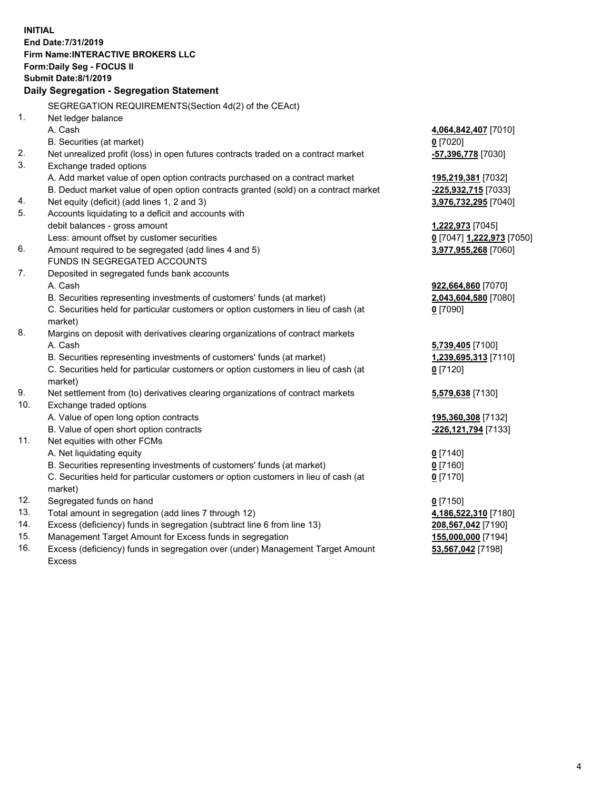**INITIAL End Date:7/31/2019 Firm Name:INTERACTIVE BROKERS LLC Form:Daily Seg - FOCUS II Submit Date:8/1/2019 Daily Segregation - Segregation Statement** SEGREGATION REQUIREMENTS(Section 4d(2) of the CEAct) 1. Net ledger balance A. Cash **4,064,842,407** [7010] B. Securities (at market) **0** [7020] 2. Net unrealized profit (loss) in open futures contracts traded on a contract market **-57,396,778** [7030] 3. Exchange traded options A. Add market value of open option contracts purchased on a contract market **195,219,381** [7032] B. Deduct market value of open option contracts granted (sold) on a contract market **-225,932,715** [7033] 4. Net equity (deficit) (add lines 1, 2 and 3) **3,976,732,295** [7040] 5. Accounts liquidating to a deficit and accounts with debit balances - gross amount **1,222,973** [7045] Less: amount offset by customer securities **0** [7047] **1,222,973** [7050] 6. Amount required to be segregated (add lines 4 and 5) **3,977,955,268** [7060] FUNDS IN SEGREGATED ACCOUNTS 7. Deposited in segregated funds bank accounts A. Cash **922,664,860** [7070] B. Securities representing investments of customers' funds (at market) **2,043,604,580** [7080] C. Securities held for particular customers or option customers in lieu of cash (at market) **0** [7090] 8. Margins on deposit with derivatives clearing organizations of contract markets A. Cash **5,739,405** [7100] B. Securities representing investments of customers' funds (at market) **1,239,695,313** [7110] C. Securities held for particular customers or option customers in lieu of cash (at market) **0** [7120] 9. Net settlement from (to) derivatives clearing organizations of contract markets **5,579,638** [7130] 10. Exchange traded options A. Value of open long option contracts **195,360,308** [7132] B. Value of open short option contracts **-226,121,794** [7133] 11. Net equities with other FCMs A. Net liquidating equity **0** [7140] B. Securities representing investments of customers' funds (at market) **0** [7160] C. Securities held for particular customers or option customers in lieu of cash (at market) **0** [7170] 12. Segregated funds on hand **0** [7150] 13. Total amount in segregation (add lines 7 through 12) **4,186,522,310** [7180] 14. Excess (deficiency) funds in segregation (subtract line 6 from line 13) **208,567,042** [7190] 15. Management Target Amount for Excess funds in segregation **155,000,000** [7194] **53,567,042** [7198]

16. Excess (deficiency) funds in segregation over (under) Management Target Amount Excess